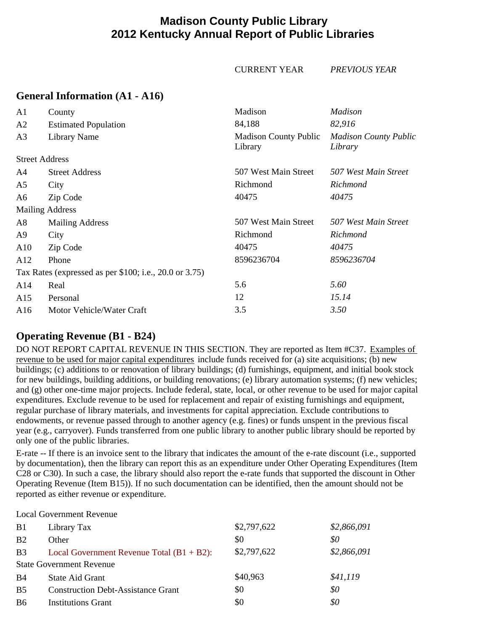## **Madison County Public Library 2012 Kentucky Annual Report of Public Libraries**

CURRENT YEAR *PREVIOUS YEAR*

#### **General Information (A1 - A16)**

| A <sub>1</sub>        | County                                                   | Madison                                 | Madison                                 |
|-----------------------|----------------------------------------------------------|-----------------------------------------|-----------------------------------------|
| A2                    | <b>Estimated Population</b>                              | 84,188                                  | 82,916                                  |
| A <sub>3</sub>        | Library Name                                             | <b>Madison County Public</b><br>Library | <b>Madison County Public</b><br>Library |
| <b>Street Address</b> |                                                          |                                         |                                         |
| A4                    | <b>Street Address</b>                                    | 507 West Main Street                    | 507 West Main Street                    |
| A5                    | City                                                     | Richmond                                | Richmond                                |
| A6                    | Zip Code                                                 | 40475                                   | 40475                                   |
|                       | <b>Mailing Address</b>                                   |                                         |                                         |
| A8                    | <b>Mailing Address</b>                                   | 507 West Main Street                    | 507 West Main Street                    |
| A9                    | City                                                     | Richmond                                | Richmond                                |
| A10                   | Zip Code                                                 | 40475                                   | 40475                                   |
| A12                   | Phone                                                    | 8596236704                              | 8596236704                              |
|                       | Tax Rates (expressed as per $$100$ ; i.e., 20.0 or 3.75) |                                         |                                         |
| A14                   | Real                                                     | 5.6                                     | 5.60                                    |
| A15                   | Personal                                                 | 12                                      | 15.14                                   |
| A16                   | Motor Vehicle/Water Craft                                | 3.5                                     | 3.50                                    |

## **Operating Revenue (B1 - B24)**

DO NOT REPORT CAPITAL REVENUE IN THIS SECTION. They are reported as Item #C37. Examples of revenue to be used for major capital expenditures include funds received for (a) site acquisitions; (b) new buildings; (c) additions to or renovation of library buildings; (d) furnishings, equipment, and initial book stock for new buildings, building additions, or building renovations; (e) library automation systems; (f) new vehicles; and (g) other one-time major projects. Include federal, state, local, or other revenue to be used for major capital expenditures. Exclude revenue to be used for replacement and repair of existing furnishings and equipment, regular purchase of library materials, and investments for capital appreciation. Exclude contributions to endowments, or revenue passed through to another agency (e.g. fines) or funds unspent in the previous fiscal year (e.g., carryover). Funds transferred from one public library to another public library should be reported by only one of the public libraries.

E-rate -- If there is an invoice sent to the library that indicates the amount of the e-rate discount (i.e., supported by documentation), then the library can report this as an expenditure under Other Operating Expenditures (Item C28 or C30). In such a case, the library should also report the e-rate funds that supported the discount in Other Operating Revenue (Item B15)). If no such documentation can be identified, then the amount should not be reported as either revenue or expenditure.

Local Government Revenue

| B <sub>1</sub> | Library Tax                                  | \$2,797,622 | \$2,866,091 |
|----------------|----------------------------------------------|-------------|-------------|
| <b>B2</b>      | Other                                        | \$0         | \$0         |
| B <sub>3</sub> | Local Government Revenue Total $(B1 + B2)$ : | \$2,797,622 | \$2,866,091 |
|                | <b>State Government Revenue</b>              |             |             |
| B4             | State Aid Grant                              | \$40,963    | \$41,119    |
| B <sub>5</sub> | <b>Construction Debt-Assistance Grant</b>    | \$0         | \$0         |
| B <sub>6</sub> | <b>Institutions Grant</b>                    | \$0         | \$0         |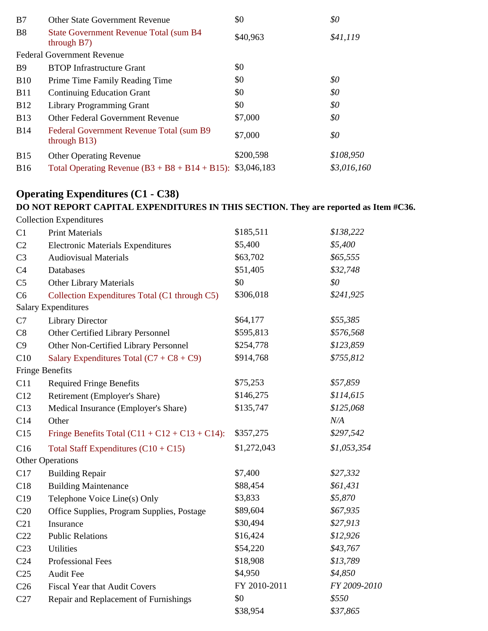| B7             | <b>Other State Government Revenue</b>                         | \$0       | \$0         |
|----------------|---------------------------------------------------------------|-----------|-------------|
| B <sub>8</sub> | <b>State Government Revenue Total (sum B4)</b><br>through B7) | \$40,963  | \$41,119    |
|                | <b>Federal Government Revenue</b>                             |           |             |
| <b>B</b> 9     | <b>BTOP</b> Infrastructure Grant                              | \$0       |             |
| <b>B10</b>     | Prime Time Family Reading Time                                | \$0       | \$0         |
| <b>B11</b>     | <b>Continuing Education Grant</b>                             | \$0       | \$0         |
| <b>B12</b>     | <b>Library Programming Grant</b>                              | \$0       | \$0         |
| <b>B</b> 13    | <b>Other Federal Government Revenue</b>                       | \$7,000   | \$0         |
| <b>B14</b>     | Federal Government Revenue Total (sum B9<br>through $B13$ )   | \$7,000   | \$0         |
| <b>B15</b>     | <b>Other Operating Revenue</b>                                | \$200,598 | \$108,950   |
| <b>B16</b>     | Total Operating Revenue $(B3 + B8 + B14 + B15)$ : \$3,046,183 |           | \$3,016,160 |

# **Operating Expenditures (C1 - C38)**

# **DO NOT REPORT CAPITAL EXPENDITURES IN THIS SECTION. They are reported as Item #C36.**

|                        | <b>Collection Expenditures</b>                    |              |              |
|------------------------|---------------------------------------------------|--------------|--------------|
| C1                     | <b>Print Materials</b>                            | \$185,511    | \$138,222    |
| C2                     | <b>Electronic Materials Expenditures</b>          | \$5,400      | \$5,400      |
| C <sub>3</sub>         | <b>Audiovisual Materials</b>                      | \$63,702     | \$65,555     |
| C <sub>4</sub>         | Databases                                         | \$51,405     | \$32,748     |
| C <sub>5</sub>         | <b>Other Library Materials</b>                    | \$0          | \$0\$        |
| C <sub>6</sub>         | Collection Expenditures Total (C1 through C5)     | \$306,018    | \$241,925    |
|                        | <b>Salary Expenditures</b>                        |              |              |
| C7                     | <b>Library Director</b>                           | \$64,177     | \$55,385     |
| C8                     | Other Certified Library Personnel                 | \$595,813    | \$576,568    |
| C9                     | Other Non-Certified Library Personnel             | \$254,778    | \$123,859    |
| C10                    | Salary Expenditures Total $(C7 + C8 + C9)$        | \$914,768    | \$755,812    |
| <b>Fringe Benefits</b> |                                                   |              |              |
| C11                    | <b>Required Fringe Benefits</b>                   | \$75,253     | \$57,859     |
| C12                    | Retirement (Employer's Share)                     | \$146,275    | \$114,615    |
| C13                    | Medical Insurance (Employer's Share)              | \$135,747    | \$125,068    |
| C14                    | Other                                             |              | N/A          |
| C15                    | Fringe Benefits Total $(C11 + C12 + C13 + C14)$ : | \$357,275    | \$297,542    |
| C16                    | Total Staff Expenditures $(C10 + C15)$            | \$1,272,043  | \$1,053,354  |
|                        | <b>Other Operations</b>                           |              |              |
| C17                    | <b>Building Repair</b>                            | \$7,400      | \$27,332     |
| C18                    | <b>Building Maintenance</b>                       | \$88,454     | \$61,431     |
| C19                    | Telephone Voice Line(s) Only                      | \$3,833      | \$5,870      |
| C20                    | Office Supplies, Program Supplies, Postage        | \$89,604     | \$67,935     |
| C21                    | Insurance                                         | \$30,494     | \$27,913     |
| C22                    | <b>Public Relations</b>                           | \$16,424     | \$12,926     |
| C <sub>23</sub>        | <b>Utilities</b>                                  | \$54,220     | \$43,767     |
| C <sub>24</sub>        | <b>Professional Fees</b>                          | \$18,908     | \$13,789     |
| C <sub>25</sub>        | <b>Audit Fee</b>                                  | \$4,950      | \$4,850      |
| C <sub>26</sub>        | <b>Fiscal Year that Audit Covers</b>              | FY 2010-2011 | FY 2009-2010 |
| C27                    | Repair and Replacement of Furnishings             | \$0          | \$550        |
|                        |                                                   | \$38,954     | \$37,865     |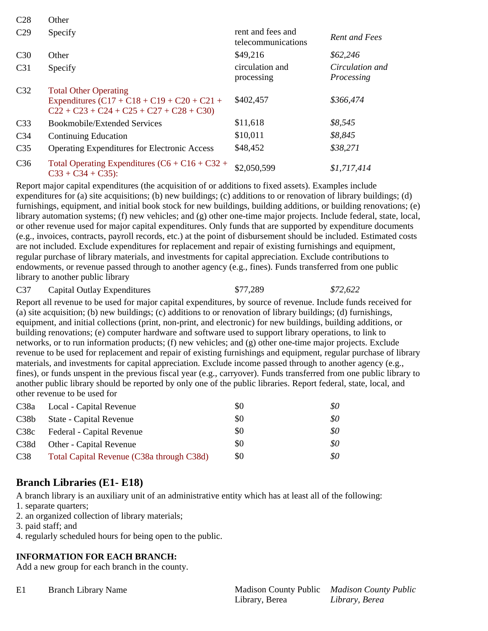| C <sub>28</sub> | Other                                                                                                                      |                                         |                               |
|-----------------|----------------------------------------------------------------------------------------------------------------------------|-----------------------------------------|-------------------------------|
| C <sub>29</sub> | Specify                                                                                                                    | rent and fees and<br>telecommunications | <b>Rent and Fees</b>          |
| C <sub>30</sub> | Other                                                                                                                      | \$49,216                                | \$62,246                      |
| C <sub>31</sub> | Specify                                                                                                                    | circulation and<br>processing           | Circulation and<br>Processing |
| C <sub>32</sub> | <b>Total Other Operating</b><br>Expenditures $(C17 + C18 + C19 + C20 + C21 +$<br>$C22 + C23 + C24 + C25 + C27 + C28 + C30$ | \$402,457                               | \$366,474                     |
| C <sub>33</sub> | Bookmobile/Extended Services                                                                                               | \$11,618                                | \$8,545                       |
| C <sub>34</sub> | <b>Continuing Education</b>                                                                                                | \$10,011                                | \$8,845                       |
| C <sub>35</sub> | <b>Operating Expenditures for Electronic Access</b>                                                                        | \$48,452                                | \$38,271                      |
| C <sub>36</sub> | Total Operating Expenditures $(C6 + C16 + C32 +$<br>$C33 + C34 + C35$ :                                                    | \$2,050,599                             | \$1,717,414                   |

Report major capital expenditures (the acquisition of or additions to fixed assets). Examples include expenditures for (a) site acquisitions; (b) new buildings; (c) additions to or renovation of library buildings; (d) furnishings, equipment, and initial book stock for new buildings, building additions, or building renovations; (e) library automation systems; (f) new vehicles; and (g) other one-time major projects. Include federal, state, local, or other revenue used for major capital expenditures. Only funds that are supported by expenditure documents (e.g., invoices, contracts, payroll records, etc.) at the point of disbursement should be included. Estimated costs are not included. Exclude expenditures for replacement and repair of existing furnishings and equipment, regular purchase of library materials, and investments for capital appreciation. Exclude contributions to endowments, or revenue passed through to another agency (e.g., fines). Funds transferred from one public library to another public library

C37 Capital Outlay Expenditures \$77,289 *\$72,622*

Report all revenue to be used for major capital expenditures, by source of revenue. Include funds received for (a) site acquisition; (b) new buildings; (c) additions to or renovation of library buildings; (d) furnishings, equipment, and initial collections (print, non-print, and electronic) for new buildings, building additions, or building renovations; (e) computer hardware and software used to support library operations, to link to networks, or to run information products; (f) new vehicles; and (g) other one-time major projects. Exclude revenue to be used for replacement and repair of existing furnishings and equipment, regular purchase of library materials, and investments for capital appreciation. Exclude income passed through to another agency (e.g., fines), or funds unspent in the previous fiscal year (e.g., carryover). Funds transferred from one public library to another public library should be reported by only one of the public libraries. Report federal, state, local, and other revenue to be used for

| C38a              | Local - Capital Revenue                   | \$0 | \$0 |
|-------------------|-------------------------------------------|-----|-----|
| C38 <sub>b</sub>  | State - Capital Revenue                   | \$0 | \$0 |
| C38c              | Federal - Capital Revenue                 | \$0 | \$0 |
| C <sub>38</sub> d | Other - Capital Revenue                   | \$0 | \$0 |
| C <sub>38</sub>   | Total Capital Revenue (C38a through C38d) | \$0 | \$0 |

## **Branch Libraries (E1- E18)**

A branch library is an auxiliary unit of an administrative entity which has at least all of the following:

- 1. separate quarters;
- 2. an organized collection of library materials;
- 3. paid staff; and
- 4. regularly scheduled hours for being open to the public.

## **INFORMATION FOR EACH BRANCH:**

Add a new group for each branch in the county.

E1 Branch Library Name Madison County Public *Madison County Public* 

Library, Berea *Library, Berea*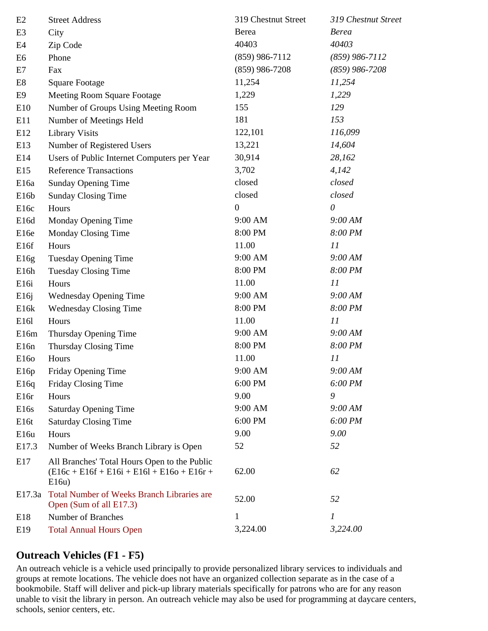| E2                | <b>Street Address</b>                                                                                 | 319 Chestnut Street | 319 Chestnut Street |
|-------------------|-------------------------------------------------------------------------------------------------------|---------------------|---------------------|
| E <sub>3</sub>    | City                                                                                                  | Berea               | <b>Berea</b>        |
| E4                | Zip Code                                                                                              | 40403               | 40403               |
| E <sub>6</sub>    | Phone                                                                                                 | $(859)$ 986-7112    | $(859)$ 986-7112    |
| E7                | Fax                                                                                                   | $(859)$ 986-7208    | $(859)$ 986-7208    |
| E8                | <b>Square Footage</b>                                                                                 | 11,254              | 11,254              |
| E9                | Meeting Room Square Footage                                                                           | 1,229               | 1,229               |
| E10               | Number of Groups Using Meeting Room                                                                   | 155                 | 129                 |
| E11               | Number of Meetings Held                                                                               | 181                 | 153                 |
| E12               | <b>Library Visits</b>                                                                                 | 122,101             | 116,099             |
| E13               | Number of Registered Users                                                                            | 13,221              | 14,604              |
| E14               | Users of Public Internet Computers per Year                                                           | 30,914              | 28,162              |
| E15               | <b>Reference Transactions</b>                                                                         | 3,702               | 4,142               |
| E <sub>16a</sub>  | <b>Sunday Opening Time</b>                                                                            | closed              | closed              |
| E16b              | <b>Sunday Closing Time</b>                                                                            | closed              | closed              |
| E <sub>16c</sub>  | Hours                                                                                                 | $\boldsymbol{0}$    | $\theta$            |
| E16d              | Monday Opening Time                                                                                   | 9:00 AM             | 9:00 AM             |
| E <sub>16e</sub>  | Monday Closing Time                                                                                   | 8:00 PM             | 8:00 PM             |
| E16f              | Hours                                                                                                 | 11.00               | 11                  |
| E16g              | <b>Tuesday Opening Time</b>                                                                           | 9:00 AM             | 9:00 AM             |
| E <sub>16</sub> h | <b>Tuesday Closing Time</b>                                                                           | 8:00 PM             | 8:00 PM             |
| E <sub>16i</sub>  | Hours                                                                                                 | 11.00               | 11                  |
| E16j              | <b>Wednesday Opening Time</b>                                                                         | 9:00 AM             | 9:00 AM             |
| E16k              | <b>Wednesday Closing Time</b>                                                                         | 8:00 PM             | 8:00 PM             |
| E161              | Hours                                                                                                 | 11.00               | 11                  |
| E16m              | Thursday Opening Time                                                                                 | 9:00 AM             | 9:00 AM             |
| E <sub>16n</sub>  | Thursday Closing Time                                                                                 | 8:00 PM             | 8:00 PM             |
| E16 <sub>0</sub>  | Hours                                                                                                 | 11.00               | 11                  |
| E16p              | Friday Opening Time                                                                                   | 9:00 AM             | 9:00 AM             |
| E16q              | Friday Closing Time                                                                                   | 6:00 PM             | 6:00 PM             |
| E16r              | Hours                                                                                                 | 9.00                | 9                   |
| E <sub>16s</sub>  | <b>Saturday Opening Time</b>                                                                          | 9:00 AM             | 9:00 AM             |
| E <sub>16t</sub>  | <b>Saturday Closing Time</b>                                                                          | 6:00 PM             | 6:00 PM             |
| E16u              | Hours                                                                                                 | 9.00                | 9.00                |
| E17.3             | Number of Weeks Branch Library is Open                                                                | 52                  | 52                  |
| E17               | All Branches' Total Hours Open to the Public<br>$(E16c + E16f + E16i + E16l + E16o + E16r +$<br>E16u) | 62.00               | 62                  |
| E17.3a            | Total Number of Weeks Branch Libraries are<br>Open (Sum of all E17.3)                                 | 52.00               | 52                  |
| E18               | Number of Branches                                                                                    | 1                   | $\boldsymbol{l}$    |
| E19               | <b>Total Annual Hours Open</b>                                                                        | 3,224.00            | 3,224.00            |

## **Outreach Vehicles (F1 - F5)**

An outreach vehicle is a vehicle used principally to provide personalized library services to individuals and groups at remote locations. The vehicle does not have an organized collection separate as in the case of a bookmobile. Staff will deliver and pick-up library materials specifically for patrons who are for any reason unable to visit the library in person. An outreach vehicle may also be used for programming at daycare centers, schools, senior centers, etc.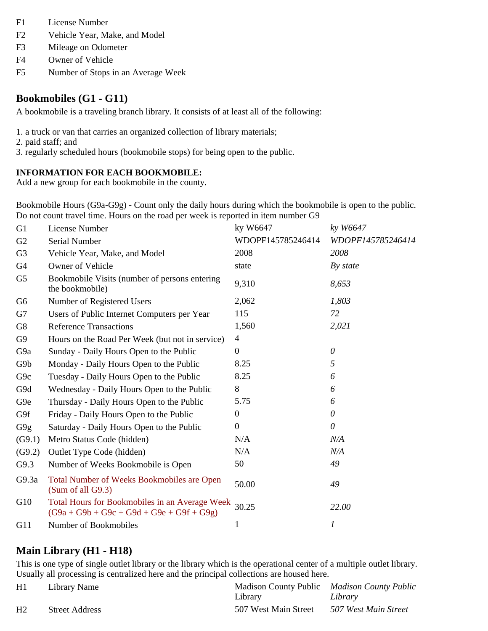- F1 License Number
- F2 Vehicle Year, Make, and Model
- F3 Mileage on Odometer
- F4 Owner of Vehicle
- F5 Number of Stops in an Average Week

#### **Bookmobiles (G1 - G11)**

A bookmobile is a traveling branch library. It consists of at least all of the following:

- 1. a truck or van that carries an organized collection of library materials;
- 2. paid staff; and
- 3. regularly scheduled hours (bookmobile stops) for being open to the public.

#### **INFORMATION FOR EACH BOOKMOBILE:**

Add a new group for each bookmobile in the county.

Bookmobile Hours (G9a-G9g) - Count only the daily hours during which the bookmobile is open to the public. Do not count travel time. Hours on the road per week is reported in item number G9

| G <sub>1</sub>  | License Number                                                                                | ky W6647          | ky W6647          |
|-----------------|-----------------------------------------------------------------------------------------------|-------------------|-------------------|
| G <sub>2</sub>  | Serial Number                                                                                 | WDOPF145785246414 | WDOPF145785246414 |
| G <sub>3</sub>  | Vehicle Year, Make, and Model                                                                 | 2008              | 2008              |
| G <sub>4</sub>  | Owner of Vehicle                                                                              | state             | By state          |
| G <sub>5</sub>  | Bookmobile Visits (number of persons entering<br>the bookmobile)                              | 9,310             | 8,653             |
| G <sub>6</sub>  | Number of Registered Users                                                                    | 2,062             | 1,803             |
| G7              | Users of Public Internet Computers per Year                                                   | 115               | 72                |
| G8              | <b>Reference Transactions</b>                                                                 | 1,560             | 2,021             |
| G9              | Hours on the Road Per Week (but not in service)                                               | $\overline{4}$    |                   |
| G <sub>9a</sub> | Sunday - Daily Hours Open to the Public                                                       | $\mathbf{0}$      | $\theta$          |
| G9b             | Monday - Daily Hours Open to the Public                                                       | 8.25              | 5                 |
| G9c             | Tuesday - Daily Hours Open to the Public                                                      | 8.25              | 6                 |
| G9d             | Wednesday - Daily Hours Open to the Public                                                    | 8                 | 6                 |
| G9e             | Thursday - Daily Hours Open to the Public                                                     | 5.75              | 6                 |
| G9f             | Friday - Daily Hours Open to the Public                                                       | $\boldsymbol{0}$  | 0                 |
| G9g             | Saturday - Daily Hours Open to the Public                                                     | $\boldsymbol{0}$  | $\theta$          |
| (G9.1)          | Metro Status Code (hidden)                                                                    | N/A               | N/A               |
| (G9.2)          | Outlet Type Code (hidden)                                                                     | N/A               | N/A               |
| G9.3            | Number of Weeks Bookmobile is Open                                                            | 50                | 49                |
| G9.3a           | Total Number of Weeks Bookmobiles are Open<br>(Sum of all G9.3)                               | 50.00             | 49                |
| G10             | Total Hours for Bookmobiles in an Average Week<br>$(G9a + G9b + G9c + G9d + G9e + G9f + G9g)$ | 30.25             | 22.00             |
| G11             | Number of Bookmobiles                                                                         | $\mathbf{1}$      | 1                 |

#### **Main Library (H1 - H18)**

This is one type of single outlet library or the library which is the operational center of a multiple outlet library. Usually all processing is centralized here and the principal collections are housed here.

| H1             | Library Name          | Madison County Public Madison County Public<br>Library | Library              |
|----------------|-----------------------|--------------------------------------------------------|----------------------|
| H <sub>2</sub> | <b>Street Address</b> | 507 West Main Street                                   | 507 West Main Street |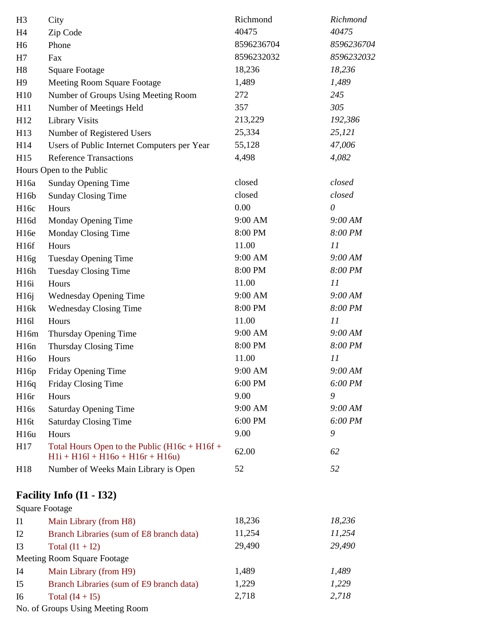| 40475<br>40475<br>Zip Code<br>H <sub>4</sub><br>8596236704<br>8596236704<br>H <sub>6</sub><br>Phone<br>8596232032<br>8596232032<br>H7<br>Fax<br>18,236<br>18,236<br>H8<br><b>Square Footage</b><br>1,489<br>1,489<br>H <sub>9</sub><br><b>Meeting Room Square Footage</b><br>272<br>245<br>Number of Groups Using Meeting Room<br>H10<br>357<br>305<br>Number of Meetings Held<br>H11<br>213,229<br>192,386<br>H12<br><b>Library Visits</b><br>25,334<br>25,121<br>H13<br>Number of Registered Users<br>47,006<br>55,128<br>Users of Public Internet Computers per Year<br>H <sub>14</sub><br>4,498<br>4,082<br>H15<br><b>Reference Transactions</b><br>Hours Open to the Public<br>closed<br>closed<br>H16a<br><b>Sunday Opening Time</b><br>closed<br>closed<br>H16b<br><b>Sunday Closing Time</b><br>0.00<br>$\theta$<br>H <sub>16c</sub><br>Hours<br>9:00 AM<br>9:00 AM<br>H16d<br>Monday Opening Time<br>8:00 PM<br>8:00 PM<br>Monday Closing Time<br>H <sub>16e</sub><br>11.00<br>11<br>H <sub>16f</sub><br>Hours<br>9:00 AM<br>9:00 AM<br>H <sub>16g</sub><br><b>Tuesday Opening Time</b><br>8:00 PM<br>8:00 PM<br>H <sub>16h</sub><br><b>Tuesday Closing Time</b><br>11.00<br>11<br>H <sub>16i</sub><br>Hours<br>9:00 AM<br>9:00 AM<br>H16j<br><b>Wednesday Opening Time</b><br>8:00 PM<br>8:00 PM<br>H <sub>16</sub> k<br><b>Wednesday Closing Time</b><br>11.00<br>11<br>H161<br>Hours<br>9:00 AM<br>9:00 AM<br>H <sub>16m</sub><br>Thursday Opening Time<br>8:00 PM<br>8:00 PM<br>Thursday Closing Time<br>H <sub>16n</sub><br>11.00<br>11<br>H160<br>Hours<br>9:00 AM<br>9:00 AM<br>H16p<br>Friday Opening Time<br>6:00 PM<br>6:00 PM<br>H16q<br>Friday Closing Time<br>9.00<br>9<br>H <sub>16r</sub><br>Hours<br>9:00 AM<br>9:00 AM<br><b>Saturday Opening Time</b><br>H <sub>16s</sub><br>6:00 PM<br>6:00 PM<br>H <sub>16t</sub><br><b>Saturday Closing Time</b><br>9.00<br>9<br>H <sub>16u</sub><br>Hours<br>Total Hours Open to the Public $(H16c + H16f +$<br>H17<br>62.00<br>62<br>$H1i + H16l + H16o + H16r + H16u$<br>52<br>52<br>Number of Weeks Main Library is Open<br>H <sub>18</sub><br>Facility Info (I1 - I32)<br><b>Square Footage</b><br>18,236<br>18,236<br>I <sub>1</sub><br>Main Library (from H8)<br>11,254<br>11,254<br>Branch Libraries (sum of E8 branch data)<br>I2<br>29,490<br>29,490<br>Total $(11 + 12)$<br>I3<br><b>Meeting Room Square Footage</b><br>1,489<br>1,489<br>Main Library (from H9)<br>I4<br>1,229<br>1,229<br>Branch Libraries (sum of E9 branch data)<br>I <sub>5</sub><br>2,718<br>2,718<br>I <sub>6</sub><br>Total $(I4 + I5)$<br>No. of Groups Using Meeting Room | H <sub>3</sub> | City | Richmond | Richmond |
|------------------------------------------------------------------------------------------------------------------------------------------------------------------------------------------------------------------------------------------------------------------------------------------------------------------------------------------------------------------------------------------------------------------------------------------------------------------------------------------------------------------------------------------------------------------------------------------------------------------------------------------------------------------------------------------------------------------------------------------------------------------------------------------------------------------------------------------------------------------------------------------------------------------------------------------------------------------------------------------------------------------------------------------------------------------------------------------------------------------------------------------------------------------------------------------------------------------------------------------------------------------------------------------------------------------------------------------------------------------------------------------------------------------------------------------------------------------------------------------------------------------------------------------------------------------------------------------------------------------------------------------------------------------------------------------------------------------------------------------------------------------------------------------------------------------------------------------------------------------------------------------------------------------------------------------------------------------------------------------------------------------------------------------------------------------------------------------------------------------------------------------------------------------------------------------------------------------------------------------------------------------------------------------------------------------------------------------------------------------------------------------------------------------------------------------------------------------------------------------------------------------------------------------------------------------------------------------------------------------------------|----------------|------|----------|----------|
|                                                                                                                                                                                                                                                                                                                                                                                                                                                                                                                                                                                                                                                                                                                                                                                                                                                                                                                                                                                                                                                                                                                                                                                                                                                                                                                                                                                                                                                                                                                                                                                                                                                                                                                                                                                                                                                                                                                                                                                                                                                                                                                                                                                                                                                                                                                                                                                                                                                                                                                                                                                                                              |                |      |          |          |
|                                                                                                                                                                                                                                                                                                                                                                                                                                                                                                                                                                                                                                                                                                                                                                                                                                                                                                                                                                                                                                                                                                                                                                                                                                                                                                                                                                                                                                                                                                                                                                                                                                                                                                                                                                                                                                                                                                                                                                                                                                                                                                                                                                                                                                                                                                                                                                                                                                                                                                                                                                                                                              |                |      |          |          |
|                                                                                                                                                                                                                                                                                                                                                                                                                                                                                                                                                                                                                                                                                                                                                                                                                                                                                                                                                                                                                                                                                                                                                                                                                                                                                                                                                                                                                                                                                                                                                                                                                                                                                                                                                                                                                                                                                                                                                                                                                                                                                                                                                                                                                                                                                                                                                                                                                                                                                                                                                                                                                              |                |      |          |          |
|                                                                                                                                                                                                                                                                                                                                                                                                                                                                                                                                                                                                                                                                                                                                                                                                                                                                                                                                                                                                                                                                                                                                                                                                                                                                                                                                                                                                                                                                                                                                                                                                                                                                                                                                                                                                                                                                                                                                                                                                                                                                                                                                                                                                                                                                                                                                                                                                                                                                                                                                                                                                                              |                |      |          |          |
|                                                                                                                                                                                                                                                                                                                                                                                                                                                                                                                                                                                                                                                                                                                                                                                                                                                                                                                                                                                                                                                                                                                                                                                                                                                                                                                                                                                                                                                                                                                                                                                                                                                                                                                                                                                                                                                                                                                                                                                                                                                                                                                                                                                                                                                                                                                                                                                                                                                                                                                                                                                                                              |                |      |          |          |
|                                                                                                                                                                                                                                                                                                                                                                                                                                                                                                                                                                                                                                                                                                                                                                                                                                                                                                                                                                                                                                                                                                                                                                                                                                                                                                                                                                                                                                                                                                                                                                                                                                                                                                                                                                                                                                                                                                                                                                                                                                                                                                                                                                                                                                                                                                                                                                                                                                                                                                                                                                                                                              |                |      |          |          |
|                                                                                                                                                                                                                                                                                                                                                                                                                                                                                                                                                                                                                                                                                                                                                                                                                                                                                                                                                                                                                                                                                                                                                                                                                                                                                                                                                                                                                                                                                                                                                                                                                                                                                                                                                                                                                                                                                                                                                                                                                                                                                                                                                                                                                                                                                                                                                                                                                                                                                                                                                                                                                              |                |      |          |          |
|                                                                                                                                                                                                                                                                                                                                                                                                                                                                                                                                                                                                                                                                                                                                                                                                                                                                                                                                                                                                                                                                                                                                                                                                                                                                                                                                                                                                                                                                                                                                                                                                                                                                                                                                                                                                                                                                                                                                                                                                                                                                                                                                                                                                                                                                                                                                                                                                                                                                                                                                                                                                                              |                |      |          |          |
|                                                                                                                                                                                                                                                                                                                                                                                                                                                                                                                                                                                                                                                                                                                                                                                                                                                                                                                                                                                                                                                                                                                                                                                                                                                                                                                                                                                                                                                                                                                                                                                                                                                                                                                                                                                                                                                                                                                                                                                                                                                                                                                                                                                                                                                                                                                                                                                                                                                                                                                                                                                                                              |                |      |          |          |
|                                                                                                                                                                                                                                                                                                                                                                                                                                                                                                                                                                                                                                                                                                                                                                                                                                                                                                                                                                                                                                                                                                                                                                                                                                                                                                                                                                                                                                                                                                                                                                                                                                                                                                                                                                                                                                                                                                                                                                                                                                                                                                                                                                                                                                                                                                                                                                                                                                                                                                                                                                                                                              |                |      |          |          |
|                                                                                                                                                                                                                                                                                                                                                                                                                                                                                                                                                                                                                                                                                                                                                                                                                                                                                                                                                                                                                                                                                                                                                                                                                                                                                                                                                                                                                                                                                                                                                                                                                                                                                                                                                                                                                                                                                                                                                                                                                                                                                                                                                                                                                                                                                                                                                                                                                                                                                                                                                                                                                              |                |      |          |          |
|                                                                                                                                                                                                                                                                                                                                                                                                                                                                                                                                                                                                                                                                                                                                                                                                                                                                                                                                                                                                                                                                                                                                                                                                                                                                                                                                                                                                                                                                                                                                                                                                                                                                                                                                                                                                                                                                                                                                                                                                                                                                                                                                                                                                                                                                                                                                                                                                                                                                                                                                                                                                                              |                |      |          |          |
|                                                                                                                                                                                                                                                                                                                                                                                                                                                                                                                                                                                                                                                                                                                                                                                                                                                                                                                                                                                                                                                                                                                                                                                                                                                                                                                                                                                                                                                                                                                                                                                                                                                                                                                                                                                                                                                                                                                                                                                                                                                                                                                                                                                                                                                                                                                                                                                                                                                                                                                                                                                                                              |                |      |          |          |
|                                                                                                                                                                                                                                                                                                                                                                                                                                                                                                                                                                                                                                                                                                                                                                                                                                                                                                                                                                                                                                                                                                                                                                                                                                                                                                                                                                                                                                                                                                                                                                                                                                                                                                                                                                                                                                                                                                                                                                                                                                                                                                                                                                                                                                                                                                                                                                                                                                                                                                                                                                                                                              |                |      |          |          |
|                                                                                                                                                                                                                                                                                                                                                                                                                                                                                                                                                                                                                                                                                                                                                                                                                                                                                                                                                                                                                                                                                                                                                                                                                                                                                                                                                                                                                                                                                                                                                                                                                                                                                                                                                                                                                                                                                                                                                                                                                                                                                                                                                                                                                                                                                                                                                                                                                                                                                                                                                                                                                              |                |      |          |          |
|                                                                                                                                                                                                                                                                                                                                                                                                                                                                                                                                                                                                                                                                                                                                                                                                                                                                                                                                                                                                                                                                                                                                                                                                                                                                                                                                                                                                                                                                                                                                                                                                                                                                                                                                                                                                                                                                                                                                                                                                                                                                                                                                                                                                                                                                                                                                                                                                                                                                                                                                                                                                                              |                |      |          |          |
|                                                                                                                                                                                                                                                                                                                                                                                                                                                                                                                                                                                                                                                                                                                                                                                                                                                                                                                                                                                                                                                                                                                                                                                                                                                                                                                                                                                                                                                                                                                                                                                                                                                                                                                                                                                                                                                                                                                                                                                                                                                                                                                                                                                                                                                                                                                                                                                                                                                                                                                                                                                                                              |                |      |          |          |
|                                                                                                                                                                                                                                                                                                                                                                                                                                                                                                                                                                                                                                                                                                                                                                                                                                                                                                                                                                                                                                                                                                                                                                                                                                                                                                                                                                                                                                                                                                                                                                                                                                                                                                                                                                                                                                                                                                                                                                                                                                                                                                                                                                                                                                                                                                                                                                                                                                                                                                                                                                                                                              |                |      |          |          |
|                                                                                                                                                                                                                                                                                                                                                                                                                                                                                                                                                                                                                                                                                                                                                                                                                                                                                                                                                                                                                                                                                                                                                                                                                                                                                                                                                                                                                                                                                                                                                                                                                                                                                                                                                                                                                                                                                                                                                                                                                                                                                                                                                                                                                                                                                                                                                                                                                                                                                                                                                                                                                              |                |      |          |          |
|                                                                                                                                                                                                                                                                                                                                                                                                                                                                                                                                                                                                                                                                                                                                                                                                                                                                                                                                                                                                                                                                                                                                                                                                                                                                                                                                                                                                                                                                                                                                                                                                                                                                                                                                                                                                                                                                                                                                                                                                                                                                                                                                                                                                                                                                                                                                                                                                                                                                                                                                                                                                                              |                |      |          |          |
|                                                                                                                                                                                                                                                                                                                                                                                                                                                                                                                                                                                                                                                                                                                                                                                                                                                                                                                                                                                                                                                                                                                                                                                                                                                                                                                                                                                                                                                                                                                                                                                                                                                                                                                                                                                                                                                                                                                                                                                                                                                                                                                                                                                                                                                                                                                                                                                                                                                                                                                                                                                                                              |                |      |          |          |
|                                                                                                                                                                                                                                                                                                                                                                                                                                                                                                                                                                                                                                                                                                                                                                                                                                                                                                                                                                                                                                                                                                                                                                                                                                                                                                                                                                                                                                                                                                                                                                                                                                                                                                                                                                                                                                                                                                                                                                                                                                                                                                                                                                                                                                                                                                                                                                                                                                                                                                                                                                                                                              |                |      |          |          |
|                                                                                                                                                                                                                                                                                                                                                                                                                                                                                                                                                                                                                                                                                                                                                                                                                                                                                                                                                                                                                                                                                                                                                                                                                                                                                                                                                                                                                                                                                                                                                                                                                                                                                                                                                                                                                                                                                                                                                                                                                                                                                                                                                                                                                                                                                                                                                                                                                                                                                                                                                                                                                              |                |      |          |          |
|                                                                                                                                                                                                                                                                                                                                                                                                                                                                                                                                                                                                                                                                                                                                                                                                                                                                                                                                                                                                                                                                                                                                                                                                                                                                                                                                                                                                                                                                                                                                                                                                                                                                                                                                                                                                                                                                                                                                                                                                                                                                                                                                                                                                                                                                                                                                                                                                                                                                                                                                                                                                                              |                |      |          |          |
|                                                                                                                                                                                                                                                                                                                                                                                                                                                                                                                                                                                                                                                                                                                                                                                                                                                                                                                                                                                                                                                                                                                                                                                                                                                                                                                                                                                                                                                                                                                                                                                                                                                                                                                                                                                                                                                                                                                                                                                                                                                                                                                                                                                                                                                                                                                                                                                                                                                                                                                                                                                                                              |                |      |          |          |
|                                                                                                                                                                                                                                                                                                                                                                                                                                                                                                                                                                                                                                                                                                                                                                                                                                                                                                                                                                                                                                                                                                                                                                                                                                                                                                                                                                                                                                                                                                                                                                                                                                                                                                                                                                                                                                                                                                                                                                                                                                                                                                                                                                                                                                                                                                                                                                                                                                                                                                                                                                                                                              |                |      |          |          |
|                                                                                                                                                                                                                                                                                                                                                                                                                                                                                                                                                                                                                                                                                                                                                                                                                                                                                                                                                                                                                                                                                                                                                                                                                                                                                                                                                                                                                                                                                                                                                                                                                                                                                                                                                                                                                                                                                                                                                                                                                                                                                                                                                                                                                                                                                                                                                                                                                                                                                                                                                                                                                              |                |      |          |          |
|                                                                                                                                                                                                                                                                                                                                                                                                                                                                                                                                                                                                                                                                                                                                                                                                                                                                                                                                                                                                                                                                                                                                                                                                                                                                                                                                                                                                                                                                                                                                                                                                                                                                                                                                                                                                                                                                                                                                                                                                                                                                                                                                                                                                                                                                                                                                                                                                                                                                                                                                                                                                                              |                |      |          |          |
|                                                                                                                                                                                                                                                                                                                                                                                                                                                                                                                                                                                                                                                                                                                                                                                                                                                                                                                                                                                                                                                                                                                                                                                                                                                                                                                                                                                                                                                                                                                                                                                                                                                                                                                                                                                                                                                                                                                                                                                                                                                                                                                                                                                                                                                                                                                                                                                                                                                                                                                                                                                                                              |                |      |          |          |
|                                                                                                                                                                                                                                                                                                                                                                                                                                                                                                                                                                                                                                                                                                                                                                                                                                                                                                                                                                                                                                                                                                                                                                                                                                                                                                                                                                                                                                                                                                                                                                                                                                                                                                                                                                                                                                                                                                                                                                                                                                                                                                                                                                                                                                                                                                                                                                                                                                                                                                                                                                                                                              |                |      |          |          |
|                                                                                                                                                                                                                                                                                                                                                                                                                                                                                                                                                                                                                                                                                                                                                                                                                                                                                                                                                                                                                                                                                                                                                                                                                                                                                                                                                                                                                                                                                                                                                                                                                                                                                                                                                                                                                                                                                                                                                                                                                                                                                                                                                                                                                                                                                                                                                                                                                                                                                                                                                                                                                              |                |      |          |          |
|                                                                                                                                                                                                                                                                                                                                                                                                                                                                                                                                                                                                                                                                                                                                                                                                                                                                                                                                                                                                                                                                                                                                                                                                                                                                                                                                                                                                                                                                                                                                                                                                                                                                                                                                                                                                                                                                                                                                                                                                                                                                                                                                                                                                                                                                                                                                                                                                                                                                                                                                                                                                                              |                |      |          |          |
|                                                                                                                                                                                                                                                                                                                                                                                                                                                                                                                                                                                                                                                                                                                                                                                                                                                                                                                                                                                                                                                                                                                                                                                                                                                                                                                                                                                                                                                                                                                                                                                                                                                                                                                                                                                                                                                                                                                                                                                                                                                                                                                                                                                                                                                                                                                                                                                                                                                                                                                                                                                                                              |                |      |          |          |
|                                                                                                                                                                                                                                                                                                                                                                                                                                                                                                                                                                                                                                                                                                                                                                                                                                                                                                                                                                                                                                                                                                                                                                                                                                                                                                                                                                                                                                                                                                                                                                                                                                                                                                                                                                                                                                                                                                                                                                                                                                                                                                                                                                                                                                                                                                                                                                                                                                                                                                                                                                                                                              |                |      |          |          |
|                                                                                                                                                                                                                                                                                                                                                                                                                                                                                                                                                                                                                                                                                                                                                                                                                                                                                                                                                                                                                                                                                                                                                                                                                                                                                                                                                                                                                                                                                                                                                                                                                                                                                                                                                                                                                                                                                                                                                                                                                                                                                                                                                                                                                                                                                                                                                                                                                                                                                                                                                                                                                              |                |      |          |          |
|                                                                                                                                                                                                                                                                                                                                                                                                                                                                                                                                                                                                                                                                                                                                                                                                                                                                                                                                                                                                                                                                                                                                                                                                                                                                                                                                                                                                                                                                                                                                                                                                                                                                                                                                                                                                                                                                                                                                                                                                                                                                                                                                                                                                                                                                                                                                                                                                                                                                                                                                                                                                                              |                |      |          |          |
|                                                                                                                                                                                                                                                                                                                                                                                                                                                                                                                                                                                                                                                                                                                                                                                                                                                                                                                                                                                                                                                                                                                                                                                                                                                                                                                                                                                                                                                                                                                                                                                                                                                                                                                                                                                                                                                                                                                                                                                                                                                                                                                                                                                                                                                                                                                                                                                                                                                                                                                                                                                                                              |                |      |          |          |
|                                                                                                                                                                                                                                                                                                                                                                                                                                                                                                                                                                                                                                                                                                                                                                                                                                                                                                                                                                                                                                                                                                                                                                                                                                                                                                                                                                                                                                                                                                                                                                                                                                                                                                                                                                                                                                                                                                                                                                                                                                                                                                                                                                                                                                                                                                                                                                                                                                                                                                                                                                                                                              |                |      |          |          |
|                                                                                                                                                                                                                                                                                                                                                                                                                                                                                                                                                                                                                                                                                                                                                                                                                                                                                                                                                                                                                                                                                                                                                                                                                                                                                                                                                                                                                                                                                                                                                                                                                                                                                                                                                                                                                                                                                                                                                                                                                                                                                                                                                                                                                                                                                                                                                                                                                                                                                                                                                                                                                              |                |      |          |          |
|                                                                                                                                                                                                                                                                                                                                                                                                                                                                                                                                                                                                                                                                                                                                                                                                                                                                                                                                                                                                                                                                                                                                                                                                                                                                                                                                                                                                                                                                                                                                                                                                                                                                                                                                                                                                                                                                                                                                                                                                                                                                                                                                                                                                                                                                                                                                                                                                                                                                                                                                                                                                                              |                |      |          |          |
|                                                                                                                                                                                                                                                                                                                                                                                                                                                                                                                                                                                                                                                                                                                                                                                                                                                                                                                                                                                                                                                                                                                                                                                                                                                                                                                                                                                                                                                                                                                                                                                                                                                                                                                                                                                                                                                                                                                                                                                                                                                                                                                                                                                                                                                                                                                                                                                                                                                                                                                                                                                                                              |                |      |          |          |
|                                                                                                                                                                                                                                                                                                                                                                                                                                                                                                                                                                                                                                                                                                                                                                                                                                                                                                                                                                                                                                                                                                                                                                                                                                                                                                                                                                                                                                                                                                                                                                                                                                                                                                                                                                                                                                                                                                                                                                                                                                                                                                                                                                                                                                                                                                                                                                                                                                                                                                                                                                                                                              |                |      |          |          |
|                                                                                                                                                                                                                                                                                                                                                                                                                                                                                                                                                                                                                                                                                                                                                                                                                                                                                                                                                                                                                                                                                                                                                                                                                                                                                                                                                                                                                                                                                                                                                                                                                                                                                                                                                                                                                                                                                                                                                                                                                                                                                                                                                                                                                                                                                                                                                                                                                                                                                                                                                                                                                              |                |      |          |          |
|                                                                                                                                                                                                                                                                                                                                                                                                                                                                                                                                                                                                                                                                                                                                                                                                                                                                                                                                                                                                                                                                                                                                                                                                                                                                                                                                                                                                                                                                                                                                                                                                                                                                                                                                                                                                                                                                                                                                                                                                                                                                                                                                                                                                                                                                                                                                                                                                                                                                                                                                                                                                                              |                |      |          |          |
|                                                                                                                                                                                                                                                                                                                                                                                                                                                                                                                                                                                                                                                                                                                                                                                                                                                                                                                                                                                                                                                                                                                                                                                                                                                                                                                                                                                                                                                                                                                                                                                                                                                                                                                                                                                                                                                                                                                                                                                                                                                                                                                                                                                                                                                                                                                                                                                                                                                                                                                                                                                                                              |                |      |          |          |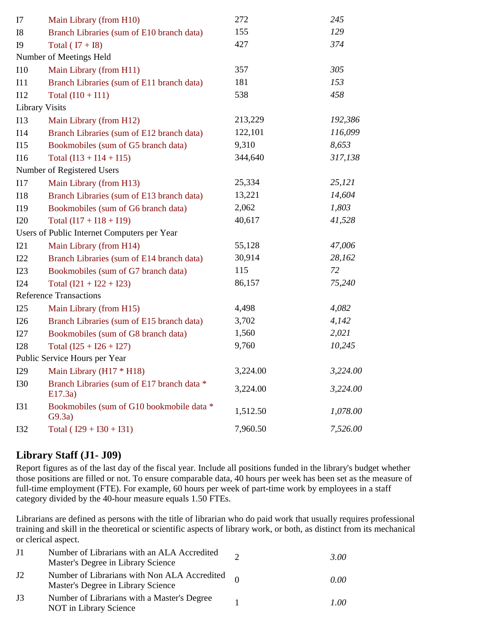| I7                    | Main Library (from H10)                               | 272      | 245      |
|-----------------------|-------------------------------------------------------|----------|----------|
| 18                    | Branch Libraries (sum of E10 branch data)             | 155      | 129      |
| I <sub>9</sub>        | Total $(17 + 18)$                                     | 427      | 374      |
|                       | Number of Meetings Held                               |          |          |
| <b>I10</b>            | Main Library (from H11)                               | 357      | 305      |
| I11                   | Branch Libraries (sum of E11 branch data)             | 181      | 153      |
| I12                   | Total $(I10 + I11)$                                   | 538      | 458      |
| <b>Library Visits</b> |                                                       |          |          |
| I13                   | Main Library (from H12)                               | 213,229  | 192,386  |
| I14                   | Branch Libraries (sum of E12 branch data)             | 122,101  | 116,099  |
| 115                   | Bookmobiles (sum of G5 branch data)                   | 9,310    | 8,653    |
| I16                   | Total $(113 + 114 + 115)$                             | 344,640  | 317,138  |
|                       | Number of Registered Users                            |          |          |
| I17                   | Main Library (from H13)                               | 25,334   | 25,121   |
| <b>I18</b>            | Branch Libraries (sum of E13 branch data)             | 13,221   | 14,604   |
| I19                   | Bookmobiles (sum of G6 branch data)                   | 2,062    | 1,803    |
| I20                   | Total $(117 + 118 + 119)$                             | 40,617   | 41,528   |
|                       | Users of Public Internet Computers per Year           |          |          |
| I21                   | Main Library (from H14)                               | 55,128   | 47,006   |
| I22                   | Branch Libraries (sum of E14 branch data)             | 30,914   | 28,162   |
| I23                   | Bookmobiles (sum of G7 branch data)                   | 115      | 72       |
| I24                   | Total $(I21 + I22 + I23)$                             | 86,157   | 75,240   |
|                       | <b>Reference Transactions</b>                         |          |          |
| I25                   | Main Library (from H15)                               | 4,498    | 4,082    |
| I26                   | Branch Libraries (sum of E15 branch data)             | 3,702    | 4,142    |
| I27                   | Bookmobiles (sum of G8 branch data)                   | 1,560    | 2,021    |
| <b>I28</b>            | Total $(125 + 126 + 127)$                             | 9,760    | 10,245   |
|                       | Public Service Hours per Year                         |          |          |
| I <sub>29</sub>       | Main Library (H17 * H18)                              | 3,224.00 | 3,224.00 |
| <b>I30</b>            | Branch Libraries (sum of E17 branch data *<br>E17.3a) | 3,224.00 | 3,224.00 |
| <b>I31</b>            | Bookmobiles (sum of G10 bookmobile data *<br>G9.3a)   | 1,512.50 | 1,078.00 |
| I32                   | Total ( $I29 + I30 + I31$ )                           | 7,960.50 | 7,526.00 |

#### **Library Staff (J1- J09)**

Report figures as of the last day of the fiscal year. Include all positions funded in the library's budget whether those positions are filled or not. To ensure comparable data, 40 hours per week has been set as the measure of full-time employment (FTE). For example, 60 hours per week of part-time work by employees in a staff category divided by the 40-hour measure equals 1.50 FTEs.

Librarians are defined as persons with the title of librarian who do paid work that usually requires professional training and skill in the theoretical or scientific aspects of library work, or both, as distinct from its mechanical or clerical aspect.

| <b>J1</b> | Number of Librarians with an ALA Accredited<br>Master's Degree in Library Science           | 3.00 |
|-----------|---------------------------------------------------------------------------------------------|------|
| J2        | Number of Librarians with Non ALA Accredited $\alpha$<br>Master's Degree in Library Science | 0.00 |
| J3        | Number of Librarians with a Master's Degree<br>NOT in Library Science                       | 1 OO |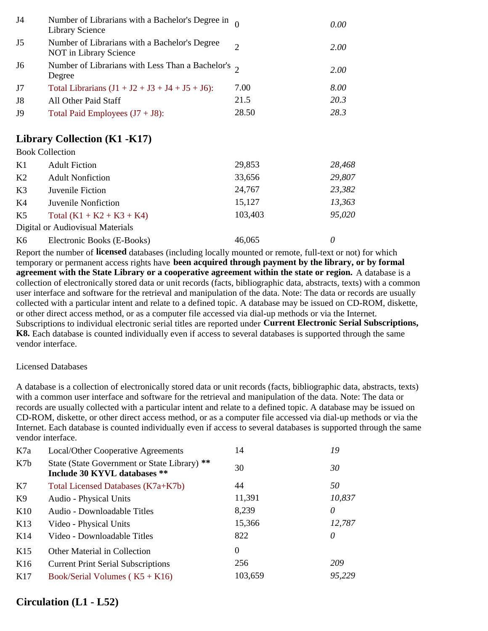| J4                                                                                                       | Number of Librarians with a Bachelor's Degree in<br><b>Library Science</b> |                | 0.00        |
|----------------------------------------------------------------------------------------------------------|----------------------------------------------------------------------------|----------------|-------------|
| J <sub>5</sub>                                                                                           | Number of Librarians with a Bachelor's Degree<br>NOT in Library Science    | $\overline{2}$ | <i>2.00</i> |
| J6                                                                                                       | Number of Librarians with Less Than a Bachelor's $\sigma$<br>Degree        |                | <i>2.00</i> |
| J7                                                                                                       | Total Librarians $(J1 + J2 + J3 + J4 + J5 + J6)$ :                         | 7.00           | 8.00        |
| J8                                                                                                       | All Other Paid Staff                                                       | 21.5           | 20.3        |
| <b>J9</b>                                                                                                | Total Paid Employees $(J7 + J8)$ :                                         | 28.50          | 28.3        |
| <b>Library Collection (K1 -K17)</b><br>$\mathbf{D}$ $\mathbf{1}$ $\mathbf{C}$ $\mathbf{11}$ $\mathbf{C}$ |                                                                            |                |             |

|                | <b>BOOK COLLECTION</b>           |         |        |
|----------------|----------------------------------|---------|--------|
| K1             | <b>Adult Fiction</b>             | 29,853  | 28,468 |
| K2             | <b>Adult Nonfiction</b>          | 33,656  | 29,807 |
| K <sub>3</sub> | Juvenile Fiction                 | 24,767  | 23,382 |
| K <sub>4</sub> | Juvenile Nonfiction              | 15,127  | 13,363 |
| K <sub>5</sub> | Total $(K1 + K2 + K3 + K4)$      | 103,403 | 95,020 |
|                | Digital or Audiovisual Materials |         |        |
| K6             | Electronic Books (E-Books)       | 46,065  | 0      |

Report the number of **licensed** databases (including locally mounted or remote, full-text or not) for which temporary or permanent access rights have **been acquired through payment by the library, or by formal agreement with the State Library or a cooperative agreement within the state or region.** A database is a collection of electronically stored data or unit records (facts, bibliographic data, abstracts, texts) with a common user interface and software for the retrieval and manipulation of the data. Note: The data or records are usually collected with a particular intent and relate to a defined topic. A database may be issued on CD-ROM, diskette, or other direct access method, or as a computer file accessed via dial-up methods or via the Internet. Subscriptions to individual electronic serial titles are reported under **Current Electronic Serial Subscriptions, K8.** Each database is counted individually even if access to several databases is supported through the same vendor interface.

Licensed Databases

A database is a collection of electronically stored data or unit records (facts, bibliographic data, abstracts, texts) with a common user interface and software for the retrieval and manipulation of the data. Note: The data or records are usually collected with a particular intent and relate to a defined topic. A database may be issued on CD-ROM, diskette, or other direct access method, or as a computer file accessed via dial-up methods or via the Internet. Each database is counted individually even if access to several databases is supported through the same vendor interface.

| K7a             | Local/Other Cooperative Agreements                                           | 14       | 19     |
|-----------------|------------------------------------------------------------------------------|----------|--------|
| K7b             | State (State Government or State Library) **<br>Include 30 KYVL databases ** | 30       | 30     |
| K7              | Total Licensed Databases (K7a+K7b)                                           | 44       | 50     |
| K9              | Audio - Physical Units                                                       | 11,391   | 10,837 |
| K10             | Audio - Downloadable Titles                                                  | 8,239    | 0      |
| K13             | Video - Physical Units                                                       | 15,366   | 12,787 |
| K14             | Video - Downloadable Titles                                                  | 822      | 0      |
| K15             | Other Material in Collection                                                 | $\theta$ |        |
| K <sub>16</sub> | <b>Current Print Serial Subscriptions</b>                                    | 256      | 209    |
| K17             | Book/Serial Volumes ( $K5 + K16$ )                                           | 103,659  | 95,229 |

## **Circulation (L1 - L52)**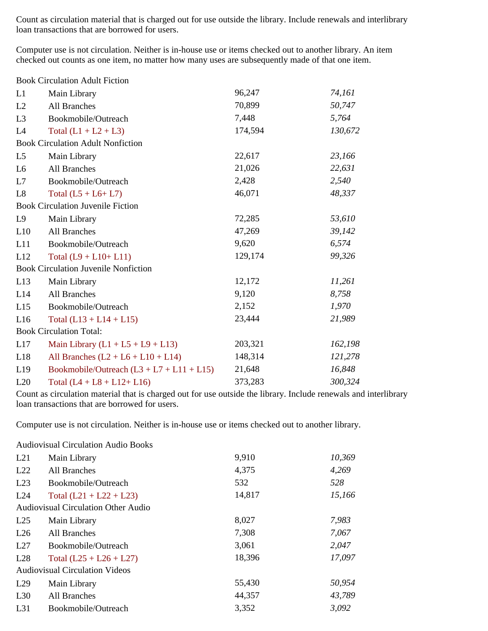Count as circulation material that is charged out for use outside the library. Include renewals and interlibrary loan transactions that are borrowed for users.

Computer use is not circulation. Neither is in-house use or items checked out to another library. An item checked out counts as one item, no matter how many uses are subsequently made of that one item.

Book Circulation Adult Fiction

| L1             | Main Library                                | 96,247  | 74,161  |
|----------------|---------------------------------------------|---------|---------|
| L2             | <b>All Branches</b>                         | 70,899  | 50,747  |
| L <sub>3</sub> | Bookmobile/Outreach                         | 7,448   | 5,764   |
| L4             | Total $(L1 + L2 + L3)$                      | 174,594 | 130,672 |
|                | <b>Book Circulation Adult Nonfiction</b>    |         |         |
| L5             | Main Library                                | 22,617  | 23,166  |
| L <sub>6</sub> | <b>All Branches</b>                         | 21,026  | 22,631  |
| L7             | Bookmobile/Outreach                         | 2,428   | 2,540   |
| L8             | Total $(L5 + L6 + L7)$                      | 46,071  | 48,337  |
|                | <b>Book Circulation Juvenile Fiction</b>    |         |         |
| L9             | Main Library                                | 72,285  | 53,610  |
| L10            | All Branches                                | 47,269  | 39,142  |
| L11            | Bookmobile/Outreach                         | 9,620   | 6,574   |
| L12            | Total $(L9 + L10+ L11)$                     | 129,174 | 99,326  |
|                | <b>Book Circulation Juvenile Nonfiction</b> |         |         |
| L13            | Main Library                                | 12,172  | 11,261  |
| L14            | <b>All Branches</b>                         | 9,120   | 8,758   |
| L15            | Bookmobile/Outreach                         | 2,152   | 1,970   |
| L16            | Total $(L13 + L14 + L15)$                   | 23,444  | 21,989  |
|                | <b>Book Circulation Total:</b>              |         |         |
| L17            | Main Library $(L1 + L5 + L9 + L13)$         | 203,321 | 162,198 |
| L18            | All Branches $(L2 + L6 + L10 + L14)$        | 148,314 | 121,278 |
| L19            | Bookmobile/Outreach $(L3 + L7 + L11 + L15)$ | 21,648  | 16,848  |
| L20            | Total $(L4 + L8 + L12 + L16)$               | 373,283 | 300,324 |

Count as circulation material that is charged out for use outside the library. Include renewals and interlibrary loan transactions that are borrowed for users.

Computer use is not circulation. Neither is in-house use or items checked out to another library.

Audiovisual Circulation Audio Books

| L21 | Main Library                               | 9,910  | 10,369 |
|-----|--------------------------------------------|--------|--------|
| L22 | All Branches                               | 4,375  | 4,269  |
| L23 | Bookmobile/Outreach                        | 532    | 528    |
| L24 | Total $(L21 + L22 + L23)$                  | 14,817 | 15,166 |
|     | <b>Audiovisual Circulation Other Audio</b> |        |        |
| L25 | Main Library                               | 8,027  | 7,983  |
| L26 | <b>All Branches</b>                        | 7,308  | 7,067  |
| L27 | Bookmobile/Outreach                        | 3,061  | 2,047  |
| L28 | Total $(L25 + L26 + L27)$                  | 18,396 | 17,097 |
|     | <b>Audiovisual Circulation Videos</b>      |        |        |
| L29 | Main Library                               | 55,430 | 50,954 |
| L30 | All Branches                               | 44,357 | 43,789 |
| L31 | Bookmobile/Outreach                        | 3,352  | 3,092  |
|     |                                            |        |        |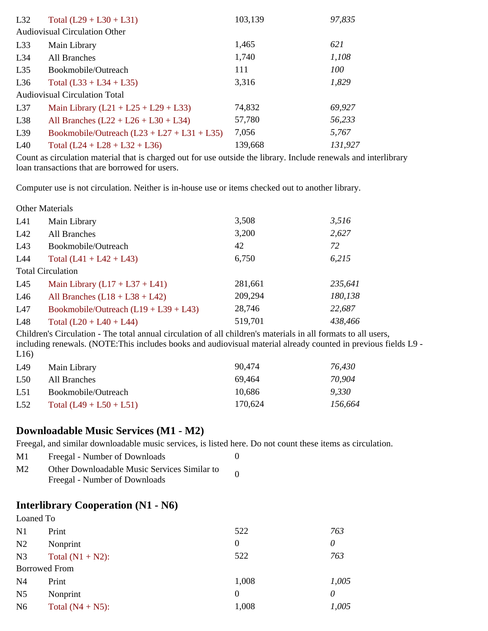| L32 | Total $(L29 + L30 + L31)$                     | 103,139 | 97,835  |
|-----|-----------------------------------------------|---------|---------|
|     | <b>Audiovisual Circulation Other</b>          |         |         |
| L33 | Main Library                                  | 1,465   | 621     |
| L34 | All Branches                                  | 1,740   | 1,108   |
| L35 | Bookmobile/Outreach                           | 111     | 100     |
| L36 | Total $(L33 + L34 + L35)$                     | 3,316   | 1,829   |
|     | <b>Audiovisual Circulation Total</b>          |         |         |
| L37 | Main Library $(L21 + L25 + L29 + L33)$        | 74,832  | 69,927  |
| L38 | All Branches $(L22 + L26 + L30 + L34)$        | 57,780  | 56,233  |
| L39 | Bookmobile/Outreach $(L23 + L27 + L31 + L35)$ | 7,056   | 5,767   |
| L40 | Total $(L24 + L28 + L32 + L36)$               | 139,668 | 131,927 |

Count as circulation material that is charged out for use outside the library. Include renewals and interlibrary loan transactions that are borrowed for users.

Computer use is not circulation. Neither is in-house use or items checked out to another library.

Other Materials

| L41 | Main Library                            | 3,508   | 3,516   |
|-----|-----------------------------------------|---------|---------|
| L42 | All Branches                            | 3,200   | 2,627   |
| L43 | Bookmobile/Outreach                     | 42      | 72      |
| L44 | Total $(L41 + L42 + L43)$               | 6,750   | 6,215   |
|     | <b>Total Circulation</b>                |         |         |
| L45 | Main Library $(L17 + L37 + L41)$        | 281,661 | 235,641 |
| L46 | All Branches $(L18 + L38 + L42)$        | 209,294 | 180,138 |
| L47 | Bookmobile/Outreach $(L19 + L39 + L43)$ | 28,746  | 22,687  |
| L48 | Total $(L20 + L40 + L44)$               | 519,701 | 438,466 |

Children's Circulation - The total annual circulation of all children's materials in all formats to all users, including renewals. (NOTE:This includes books and audiovisual material already counted in previous fields L9 - L16)

| L49             | Main Library              | 90,474  | 76,430  |
|-----------------|---------------------------|---------|---------|
| L <sub>50</sub> | All Branches              | 69.464  | 70.904  |
| L <sub>51</sub> | Bookmobile/Outreach       | 10.686  | 9.330   |
| L52             | Total $(L49 + L50 + L51)$ | 170.624 | 156.664 |

### **Downloadable Music Services (M1 - M2)**

Freegal, and similar downloadable music services, is listed here. Do not count these items as circulation.

| M1             | Freegal - Number of Downloads                                                 |  |
|----------------|-------------------------------------------------------------------------------|--|
| M <sub>2</sub> | Other Downloadable Music Services Similar to<br>Freegal - Number of Downloads |  |

## **Interlibrary Cooperation (N1 - N6)**

| Loaned To      |                      |       |       |
|----------------|----------------------|-------|-------|
| N1             | Print                | 522   | 763   |
| N <sub>2</sub> | Nonprint             | 0     | 0     |
| N <sub>3</sub> | Total $(N1 + N2)$ :  | 522   | 763   |
|                | <b>Borrowed From</b> |       |       |
| N <sub>4</sub> | Print                | 1,008 | 1,005 |
| N <sub>5</sub> | Nonprint             | 0     | 0     |
| N <sub>6</sub> | Total $(N4 + N5)$ :  | 1,008 | 1,005 |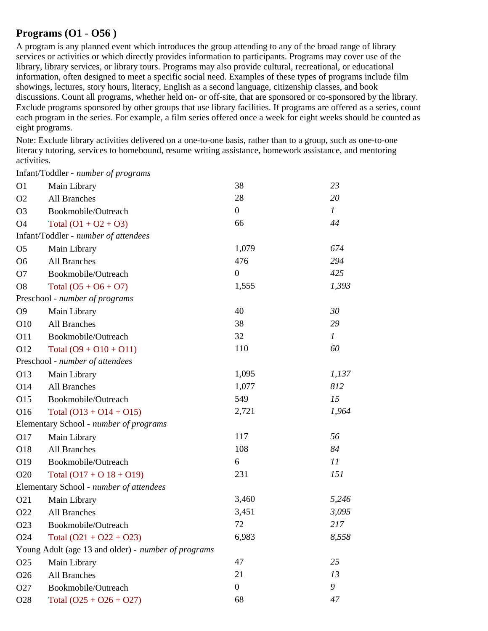## **Programs (O1 - O56 )**

A program is any planned event which introduces the group attending to any of the broad range of library services or activities or which directly provides information to participants. Programs may cover use of the library, library services, or library tours. Programs may also provide cultural, recreational, or educational information, often designed to meet a specific social need. Examples of these types of programs include film showings, lectures, story hours, literacy, English as a second language, citizenship classes, and book discussions. Count all programs, whether held on- or off-site, that are sponsored or co-sponsored by the library. Exclude programs sponsored by other groups that use library facilities. If programs are offered as a series, count each program in the series. For example, a film series offered once a week for eight weeks should be counted as eight programs.

Note: Exclude library activities delivered on a one-to-one basis, rather than to a group, such as one-to-one literacy tutoring, services to homebound, resume writing assistance, homework assistance, and mentoring activities.

Infant/Toddler - *number of programs*

| O <sub>1</sub>  | Main Library                                        | 38             | 23            |
|-----------------|-----------------------------------------------------|----------------|---------------|
| O2              | <b>All Branches</b>                                 | 28             | 20            |
| O <sub>3</sub>  | Bookmobile/Outreach                                 | $\overline{0}$ | $\mathcal{I}$ |
| <b>O4</b>       | Total $(01 + 02 + 03)$                              | 66             | 44            |
|                 | Infant/Toddler - number of attendees                |                |               |
| O <sub>5</sub>  | Main Library                                        | 1,079          | 674           |
| O <sub>6</sub>  | <b>All Branches</b>                                 | 476            | 294           |
| O <sub>7</sub>  | Bookmobile/Outreach                                 | $\overline{0}$ | 425           |
| O <sub>8</sub>  | Total $(05 + 06 + 07)$                              | 1,555          | 1,393         |
|                 | Preschool - number of programs                      |                |               |
| O <sub>9</sub>  | Main Library                                        | 40             | 30            |
| O10             | All Branches                                        | 38             | 29            |
| O11             | Bookmobile/Outreach                                 | 32             | $\mathcal{I}$ |
| O12             | Total $(O9 + O10 + O11)$                            | 110            | 60            |
|                 | Preschool - number of attendees                     |                |               |
| O13             | Main Library                                        | 1,095          | 1,137         |
| O <sub>14</sub> | <b>All Branches</b>                                 | 1,077          | 812           |
| O15             | Bookmobile/Outreach                                 | 549            | 15            |
| O16             | Total $(O13 + O14 + O15)$                           | 2,721          | 1,964         |
|                 | Elementary School - number of programs              |                |               |
| O17             | Main Library                                        | 117            | 56            |
| O18             | All Branches                                        | 108            | 84            |
| O19             | Bookmobile/Outreach                                 | 6              | 11            |
| O <sub>20</sub> | Total $(017 + 018 + 019)$                           | 231            | 151           |
|                 | Elementary School - number of attendees             |                |               |
| O <sub>21</sub> | Main Library                                        | 3,460          | 5,246         |
| O22             | All Branches                                        | 3,451          | 3,095         |
| O <sub>23</sub> | Bookmobile/Outreach                                 | 72             | 217           |
| O <sub>24</sub> | Total $(O21 + O22 + O23)$                           | 6,983          | 8,558         |
|                 | Young Adult (age 13 and older) - number of programs |                |               |
| O25             | Main Library                                        | 47             | 25            |
| O <sub>26</sub> | <b>All Branches</b>                                 | 21             | 13            |
| O <sub>27</sub> | Bookmobile/Outreach                                 | $\overline{0}$ | 9             |
| O28             | Total $(025 + 026 + 027)$                           | 68             | 47            |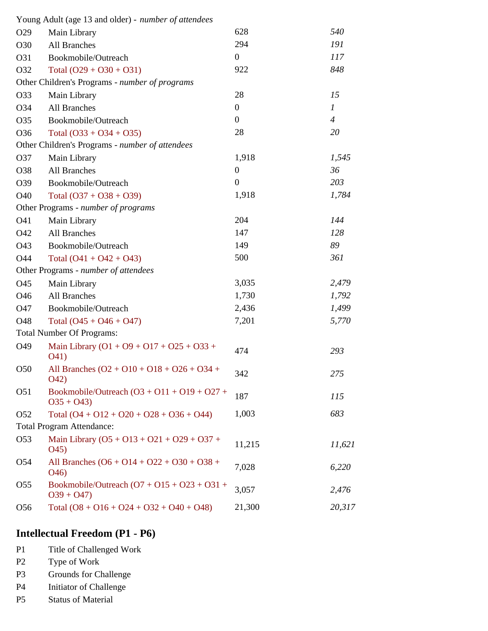|                 | Young Adult (age 13 and older) - number of attendees             |                  |                |
|-----------------|------------------------------------------------------------------|------------------|----------------|
| O <sub>29</sub> | Main Library                                                     | 628              | 540            |
| O30             | <b>All Branches</b>                                              | 294              | 191            |
| O31             | Bookmobile/Outreach                                              | $\overline{0}$   | 117            |
| O32             | Total $(O29 + O30 + O31)$                                        | 922              | 848            |
|                 | Other Children's Programs - number of programs                   |                  |                |
| O33             | Main Library                                                     | 28               | 15             |
| O34             | All Branches                                                     | $\mathbf{0}$     | $\mathcal{I}$  |
| O35             | Bookmobile/Outreach                                              | $\mathbf{0}$     | $\overline{4}$ |
| O36             | Total $(O33 + O34 + O35)$                                        | 28               | 20             |
|                 | Other Children's Programs - number of attendees                  |                  |                |
| O37             | Main Library                                                     | 1,918            | 1,545          |
| O38             | All Branches                                                     | $\boldsymbol{0}$ | 36             |
| O39             | Bookmobile/Outreach                                              | $\mathbf{0}$     | 203            |
| O40             | Total $(O37 + O38 + O39)$                                        | 1,918            | 1,784          |
|                 | Other Programs - number of programs                              |                  |                |
| O41             | Main Library                                                     | 204              | 144            |
| O42             | <b>All Branches</b>                                              | 147              | 128            |
| O43             | Bookmobile/Outreach                                              | 149              | 89             |
| O44             | Total $(O41 + O42 + O43)$                                        | 500              | 361            |
|                 | Other Programs - number of attendees                             |                  |                |
| O45             | Main Library                                                     | 3,035            | 2,479          |
| O46             | All Branches                                                     | 1,730            | 1,792          |
| O47             | Bookmobile/Outreach                                              | 2,436            | 1,499          |
| O48             | Total $(O45 + O46 + O47)$                                        | 7,201            | 5,770          |
|                 | <b>Total Number Of Programs:</b>                                 |                  |                |
| O49             | Main Library $(01 + 09 + 017 + 025 + 033 +$<br>O41)              | 474              | 293            |
| O <sub>50</sub> | All Branches $(02 + 010 + 018 + 026 + 034 +$<br>O(42)            | 342              | 275            |
| O51             | Bookmobile/Outreach $(O3 + O11 + O19 + O27 +$<br>$O(35 + O(43))$ | 187              | 115            |
| O <sub>52</sub> | Total $(04 + 012 + 020 + 028 + 036 + 044)$                       | 1,003            | 683            |
|                 | <b>Total Program Attendance:</b>                                 |                  |                |
| 053             | Main Library $(O5 + O13 + O21 + O29 + O37 +$<br>O45)             | 11,215           | 11,621         |
| O <sub>54</sub> | All Branches (O6 + O14 + O22 + O30 + O38 +<br>O <sub>46</sub> )  | 7,028            | 6,220          |
| O <sub>55</sub> | Bookmobile/Outreach $(O7 + O15 + O23 + O31 +$<br>$O39 + O47$     | 3,057            | 2,476          |
| O <sub>56</sub> | Total $(08 + 016 + 024 + 032 + 040 + 048)$                       | 21,300           | 20,317         |

## **Intellectual Freedom (P1 - P6)**

- P1 Title of Challenged Work
- P2 Type of Work
- P3 Grounds for Challenge
- P4 Initiator of Challenge
- P5 Status of Material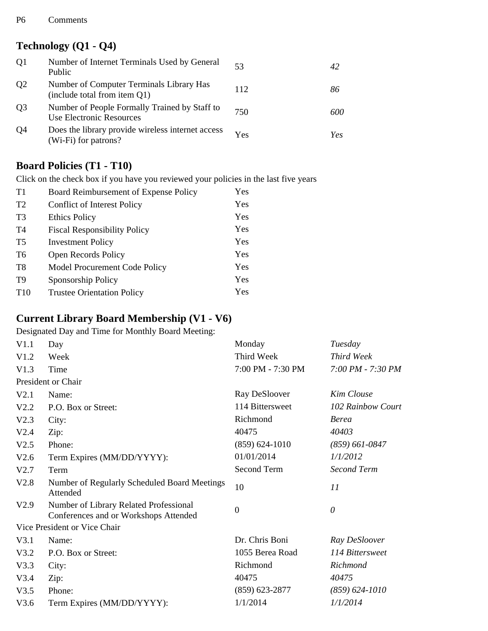# **Technology (Q1 - Q4)**

| Q <sub>1</sub> | Number of Internet Terminals Used by General<br>Public                    | 53  | 42  |
|----------------|---------------------------------------------------------------------------|-----|-----|
| Q <sub>2</sub> | Number of Computer Terminals Library Has<br>(include total from item Q1)  | 112 | 86  |
| Q <sub>3</sub> | Number of People Formally Trained by Staff to<br>Use Electronic Resources | 750 | 600 |
| Q <sub>4</sub> | Does the library provide wireless internet access<br>(Wi-Fi) for patrons? | Yes | Yes |

## **Board Policies (T1 - T10)**

Click on the check box if you have you reviewed your policies in the last five years

| T1              | Board Reimbursement of Expense Policy | Yes |
|-----------------|---------------------------------------|-----|
| T <sub>2</sub>  | Conflict of Interest Policy           | Yes |
| T <sub>3</sub>  | <b>Ethics Policy</b>                  | Yes |
| T4              | <b>Fiscal Responsibility Policy</b>   | Yes |
| T <sub>5</sub>  | <b>Investment Policy</b>              | Yes |
| T <sub>6</sub>  | <b>Open Records Policy</b>            | Yes |
| T <sub>8</sub>  | Model Procurement Code Policy         | Yes |
| T9              | Sponsorship Policy                    | Yes |
| T <sub>10</sub> | <b>Trustee Orientation Policy</b>     | Yes |

## **Current Library Board Membership (V1 - V6)**

Designated Day and Time for Monthly Board Meeting:

| V1.1                         | Day                                                                             | Monday            | Tuesday            |  |
|------------------------------|---------------------------------------------------------------------------------|-------------------|--------------------|--|
| V1.2                         | Week                                                                            | Third Week        | Third Week         |  |
| V1.3                         | Time                                                                            | 7:00 PM - 7:30 PM | 7:00 PM - 7:30 PM  |  |
|                              | President or Chair                                                              |                   |                    |  |
| V2.1                         | Name:                                                                           | Ray DeSloover     | Kim Clouse         |  |
| V2.2                         | P.O. Box or Street:                                                             | 114 Bittersweet   | 102 Rainbow Court  |  |
| V2.3                         | City:                                                                           | Richmond          | <b>Berea</b>       |  |
| V2.4                         | Zip:                                                                            | 40475             | 40403              |  |
| V2.5                         | Phone:                                                                          | $(859)$ 624-1010  | $(859)$ 661-0847   |  |
| V2.6                         | Term Expires (MM/DD/YYYY):                                                      | 01/01/2014        | 1/1/2012           |  |
| V2.7                         | Term                                                                            | Second Term       | Second Term        |  |
| V2.8                         | Number of Regularly Scheduled Board Meetings<br>Attended                        | 10                | 11                 |  |
| V2.9                         | Number of Library Related Professional<br>Conferences and or Workshops Attended | $\boldsymbol{0}$  | $\theta$           |  |
| Vice President or Vice Chair |                                                                                 |                   |                    |  |
| V3.1                         | Name:                                                                           | Dr. Chris Boni    | Ray DeSloover      |  |
| V3.2                         | P.O. Box or Street:                                                             | 1055 Berea Road   | 114 Bittersweet    |  |
| V3.3                         | City:                                                                           | Richmond          | Richmond           |  |
| V3.4                         | Zip:                                                                            | 40475             | 40475              |  |
| V3.5                         | Phone:                                                                          | $(859)$ 623-2877  | $(859) 624 - 1010$ |  |
| V3.6                         | Term Expires (MM/DD/YYYY):                                                      | 1/1/2014          | 1/1/2014           |  |